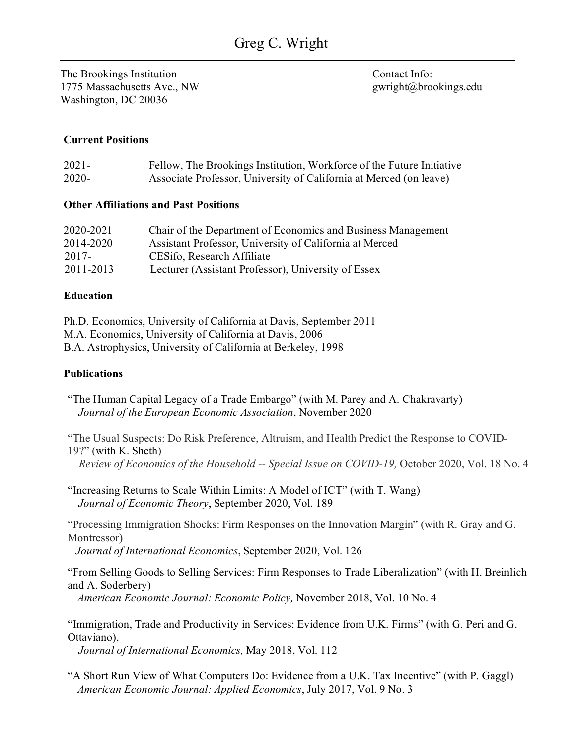The Brookings Institution 1775 Massachusetts Ave., NW Washington, DC 20036

Contact Info: gwright@brookings.edu

# **Current Positions**

| $2021 -$ | Fellow, The Brookings Institution, Workforce of the Future Initiative |
|----------|-----------------------------------------------------------------------|
| $2020 -$ | Associate Professor, University of California at Merced (on leave)    |

### **Other Affiliations and Past Positions**

| 2020-2021 | Chair of the Department of Economics and Business Management |
|-----------|--------------------------------------------------------------|
| 2014-2020 | Assistant Professor, University of California at Merced      |
| 2017-     | CESifo, Research Affiliate                                   |
| 2011-2013 | Lecturer (Assistant Professor), University of Essex          |
|           |                                                              |

### **Education**

| Ph.D. Economics, University of California at Davis, September 2011 |  |
|--------------------------------------------------------------------|--|
| M.A. Economics, University of California at Davis, 2006            |  |
| B.A. Astrophysics, University of California at Berkeley, 1998      |  |

# **Publications**

"The Human Capital Legacy of a Trade Embargo" (with M. Parey and A. Chakravarty) *Journal of the European Economic Association*, November 2020

"The Usual Suspects: Do Risk Preference, Altruism, and Health Predict the Response to COVID-19?" (with [K. Sheth\)](http://ketkisheth.weebly.com/)

 *Review of Economics of the Household -- Special Issue on COVID-19,* October 2020, Vol. 18 No. 4

"Increasing Returns to Scale Within Limits: A Model of ICT" (with T. Wang) *Journal of Economic Theory*, September 2020, Vol. 189

"Processing Immigration Shocks: Firm Responses on the Innovation Margin" (with R. Gray and G. Montressor)

*Journal of International Economics*, September 2020, Vol. 126

"From Selling Goods to Selling Services: Firm Responses to Trade Liberalization" (with H. Breinlich and A. Soderbery)

*American Economic Journal: Economic Policy,* November 2018, Vol. 10 No. 4

"Immigration, Trade and Productivity in Services: Evidence from U.K. Firms" (with G. Peri and G. Ottaviano),

*Journal of International Economics,* May 2018, Vol. 112

"A Short Run View of What Computers Do: Evidence from a U.K. Tax Incentive" (with P. Gaggl) *American Economic Journal: Applied Economics*, July 2017, Vol. 9 No. 3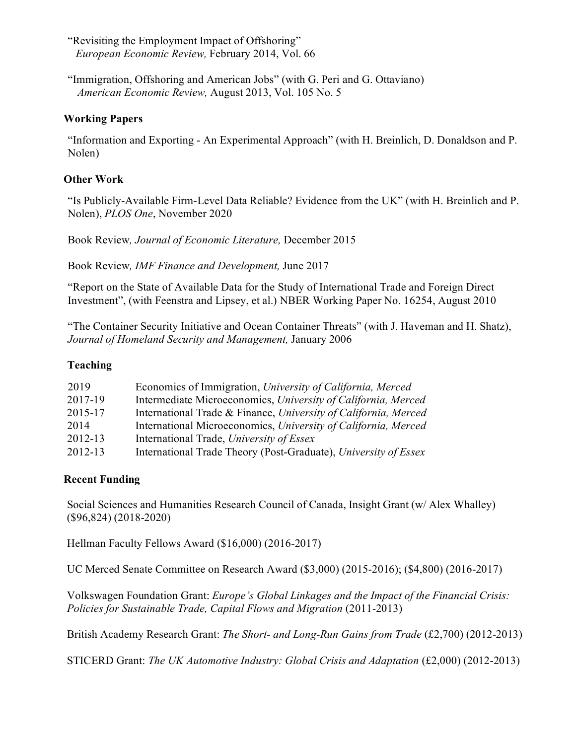"Revisiting the Employment Impact of Offshoring"  *European Economic Review,* February 2014, Vol. 66

 "Immigration, Offshoring and American Jobs" (with G. Peri and G. Ottaviano)  *American Economic Review,* August 2013, Vol. 105 No. 5

# **Working Papers**

"Information and Exporting - An Experimental Approach" (with H. Breinlich, D. Donaldson and P. Nolen)

### **Other Work**

"Is Publicly-Available Firm-Level Data Reliable? Evidence from the UK" (with H. Breinlich and P. Nolen), *PLOS One*, November 2020

Book Review*, Journal of Economic Literature,* December 2015

Book Review*, IMF Finance and Development,* June 2017

"Report on the State of Available Data for the Study of International Trade and Foreign Direct Investment", (with Feenstra and Lipsey, et al.) NBER Working Paper No. 16254, August 2010

"The Container Security Initiative and Ocean Container Threats" (with J. Haveman and H. Shatz), *Journal of Homeland Security and Management,* January 2006

### **Teaching**

| 2019    | Economics of Immigration, University of California, Merced      |
|---------|-----------------------------------------------------------------|
| 2017-19 | Intermediate Microeconomics, University of California, Merced   |
| 2015-17 | International Trade & Finance, University of California, Merced |
| 2014    | International Microeconomics, University of California, Merced  |
| 2012-13 | International Trade, University of Essex                        |
| 2012-13 | International Trade Theory (Post-Graduate), University of Essex |

#### **Recent Funding**

Social Sciences and Humanities Research Council of Canada, Insight Grant (w/ Alex Whalley) (\$96,824) (2018-2020)

Hellman Faculty Fellows Award (\$16,000) (2016-2017)

UC Merced Senate Committee on Research Award (\$3,000) (2015-2016); (\$4,800) (2016-2017)

Volkswagen Foundation Grant: *Europe's Global Linkages and the Impact of the Financial Crisis: Policies for Sustainable Trade, Capital Flows and Migration (2011-2013)* 

British Academy Research Grant: *The Short- and Long-Run Gains from Trade* (£2,700) (2012-2013)

STICERD Grant: *The UK Automotive Industry: Global Crisis and Adaptation* (£2,000) (2012-2013)